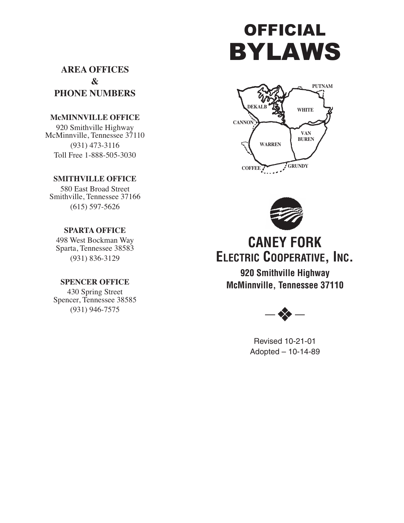# OFFICIAL BYLAWS

**AREA OFFICES & PHONE NUMBERS**

## **McMINNVILLE OFFICE**

920 Smithville Highway McMinnville, Tennessee 37110 (931) 473-3116 Toll Free 1-888-505-3030

### **SMITHVILLE OFFICE**

580 East Broad Street Smithville, Tennessee 37166 (615) 597-5626

## **SPARTA OFFICE**

498 West Bockman Way Sparta, Tennessee 38583 (931) 836-3129

## **SPENCER OFFICE**

430 Spring Street Spencer, Tennessee 38585 (931) 946-7575





## **CANEY FORK ELECTRIC COOPERATIVE, INC.**

**920 Smithville Highway McMinnville, Tennessee 37110**



Revised 10-21-01 Adopted – 10-14-89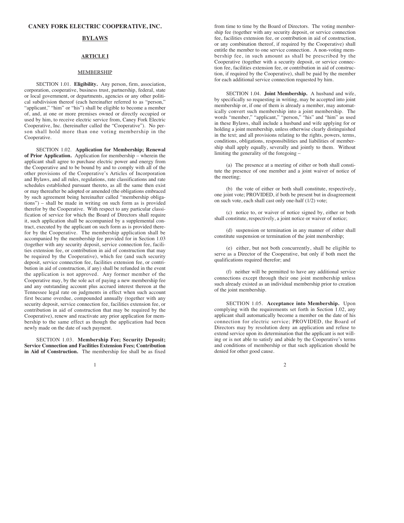#### **CANEY FORK ELECTRIC COOPERATIVE, INC.**

#### **BYLAWS**

#### **ARTICLE I**

#### **MEMBERSHIP**

SECTION 1.01. **Eligibility.** Any person, firm, association, corporation, cooperative, business trust, partnership, federal, state or local government, or departments, agencies or any other political subdivision thereof (each hereinafter referred to as "person," "applicant," "him" or "his") shall be eligible to become a member of, and, at one or more premises owned or directly occupied or used by him, to receive electric service from, Caney Fork Electric Cooperative, Inc. (hereinafter called the "Cooperative"). No person shall hold more than one voting membership in the Cooperative.

SECTION 1.02. **Application for Membership; Renewal of Prior Application.** Application for membership – wherein the applicant shall agree to purchase electric power and energy from the Cooperative and to be bound by and to comply with all of the other provisions of the Cooperative's Articles of Incorporation and Bylaws, and all rules, regulations, rate classifications and rate schedules established pursuant thereto, as all the same then exist or may thereafter be adopted or amended (the obligations embraced by such agreement being hereinafter called "membership obligations") – shall be made in writing on such form as is provided therefor by the Cooperative. With respect to any particular classification of service for which the Board of Directors shall require it, such application shall be accompanied by a supplemental contract, executed by the applicant on such form as is provided therefor by the Cooperative. The membership application shall be accompanied by the membership fee provided for in Section 1.03 (together with any security deposit, service connection fee, facilities extension fee, or contribution in aid of construction that may be required by the Cooperative), which fee (and such security deposit, service connection fee, facilities extension fee, or contribution in aid of construction, if any) shall be refunded in the event the application is not approved. Any former member of the Cooperative may, by the sole act of paying a new membership fee and any outstanding account plus accrued interest thereon at the Tennessee legal rate on judgments in effect when such account first became overdue, compounded annually (together with any security deposit, service connection fee, facilities extension fee, or contribution in aid of construction that may be required by the Cooperative), renew and reactivate any prior application for membership to the same effect as though the application had been newly made on the date of such payment.

SECTION 1.03. **Membership Fee; Security Deposit; Service Connection and Facilities Extension Fees; Contribution in Aid of Construction.** The membership fee shall be as fixed

 $\frac{1}{2}$ 

from time to time by the Board of Directors. The voting membership fee (together with any security deposit, or service connection fee, facilities extension fee, or contribution in aid of construction, or any combination thereof, if required by the Cooperative) shall entitle the member to one service connection. A non-voting membership fee, in such amount as shall be prescribed by the Cooperative (together with a security deposit, or service connection fee, facilities extension fee, or contribution in aid of construction, if required by the Cooperative), shall be paid by the member for each additional service connection requested by him.

SECTION 1.04. **Joint Membership.** A husband and wife, by specifically so requesting in writing, may be accepted into joint membership or, if one of them is already a member, may automatically convert such membership into a joint membership. The words "member," "applicant," "person," "his" and "him" as used in these Bylaws, shall include a husband and wife applying for or holding a joint membership, unless otherwise clearly distinguished in the text; and all provisions relating to the rights, powers, terms, conditions, obligations, responsibilities and liabilities of membership shall apply equally, severally and jointly to them. Without limiting the generality of the foregoing –

(a) The presence at a meeting of either or both shall constitute the presence of one member and a joint waiver of notice of the meeting;

(b) the vote of either or both shall constitute, respectively, one joint vote; PROVIDED, if both be present but in disagreement on such vote, each shall cast only one-half (1/2) vote;

(c) notice to, or waiver of notice signed by, either or both shall constitute, respectively, a joint notice or waiver of notice;

(d) suspension or termination in any manner of either shall constitute suspension or termination of the joint membership;

(e) either, but not both concurrently, shall be eligible to serve as a Director of the Cooperative, but only if both meet the qualifications required therefor; and

(f) neither will be permitted to have any additional service connections except through their one joint membership unless such already existed as an individual membership prior to creation of the joint membership.

SECTION 1.05. **Acceptance into Membership.** Upon complying with the requirements set forth in Section 1.02, any applicant shall automatically become a member on the date of his connection for electric service; PROVIDED, the Board of Directors may by resolution deny an application and refuse to extend service upon its determination that the applicant is not willing or is not able to satisfy and abide by the Cooperative's terms and conditions of membership or that such application should be denied for other good cause.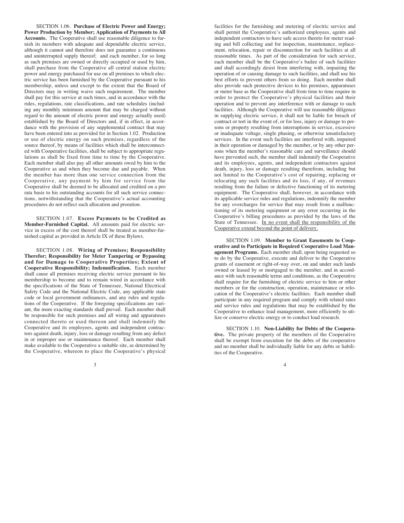SECTION 1.06. **Purchase of Electric Power and Energy; Power Production by Member; Application of Payments to All Accounts.** The Cooperative shall use reasonable diligence to furnish its members with adequate and dependable electric service, although it cannot and therefore does not guarantee a continuous and uninterrupted supply thereof; and each member, for so long as such premises are owned or directly occupied or used by him, shall purchase from the Cooperative all central station electric power and energy purchased for use on all premises to which electric service has been furnished by the Cooperative pursuant to his membership, unless and except to the extent that the Board of Directors may in writing waive such requirement. The member shall pay for this service at such times, and in accordance with the rules, regulations, rate classifications, and rate schedules (including any monthly minimum amount that may be charged without regard to the amount of electric power and energy actually used) established by the Board of Directors and, if in effect, in accordance with the provision of any supplemental contract that may have been entered into as provided for in Section 1.02. Production or use of electric energy on such premises, regardless of the source thereof, by means of facilities which shall be interconnected with Cooperative facilities, shall be subject to appropriate regulations as shall be fixed from time to time by the Cooperative. Each member shall also pay all other amounts owed by him to the Cooperative as and when they become due and payable. When the member has more than one service connection from the Cooperative, any payment by him for service from the Cooperative shall be deemed to be allocated and credited on a pro rata basis to his outstanding accounts for all such service connections, notwithstanding that the Cooperative's actual accounting procedures do not reflect such allocation and proration.

SECTION 1.07. **Excess Payments to be Credited as Member-Furnished Capital.** All amounts paid for electric service in excess of the cost thereof shall be treated as member-furnished capital as provided in Article IX of these Bylaws.

SECTION 1.08. **Wiring of Premises; Responsibility Therefor; Responsibility for Meter Tampering or Bypassing and for Damage to Cooperative Properties; Extent of Cooperative Responsibility; Indemnification.** Each member shall cause all premises receiving electric service pursuant to his membership to become and to remain wired in accordance with the specifications of the State of Tennessee, National Electrical Safety Code and the National Electric Code, any applicable state code or local government ordinances, and any rules and regulations of the Cooperative. If the foregoing specifications are variant, the more exacting standards shall prevail. Each member shall be responsible for such premises and all wiring and apparatuses connected thereto or used thereon and shall indemnify the Cooperative and its employees, agents and independent contractors against death, injury, loss or damage resulting from any defect in or improper use or maintenance thereof. Each member shall make available to the Cooperative a suitable site, as determined by the Cooperative, whereon to place the Cooperative's physical

 $\frac{3}{4}$ 

facilities for the furnishing and metering of electric service and shall permit the Cooperative's authorized employees, agents and independent contractors to have safe access thereto for meter reading and bill collecting and for inspection, maintenance, replacement, relocation, repair or disconnection for such facilities at all reasonable times. As part of the consideration for such service, each member shall be the Cooperative's bailee of such facilities and shall accordingly desist from interfering with, impairing the operation of or causing damage to such facilities, and shall use his best efforts to prevent others from so doing. Each member shall also provide such protective devices to his premises, apparatuses or meter base as the Cooperative shall from time to time require in order to protect the Cooperative's physical facilities and their operation and to prevent any interference with or damage to such facilities. Although the Cooperative will use reasonable diligence in supplying electric service, it shall not be liable for breach of contract or tort in the event of, or for loss, injury or damage to persons or property resulting from interruptions in service, excessive or inadequate voltage, single phasing, or otherwise unsatisfactory services. In the event such facilities are interfered with, impaired in their operation or damaged by the member, or by any other persons when the member's reasonable care and surveillance should have prevented such, the member shall indemnify the Cooperative and its employees, agents, and independent contractors against death, injury, loss or damage resulting therefrom, including but not limited to the Cooperative's cost of repairing, replacing or relocating any such facilities and its loss, if any, of revenues resulting from the failure or defective functioning of its metering equipment. The Cooperative shall, however, in accordance with its applicable service rules and regulations, indemnify the member for any overcharges for service that may result from a malfunctioning of its metering equipment or any error occurring in the Cooperative's billing procedures as provided by the laws of the State of Tennessee. In no event shall the responsibility of the Cooperative extend beyond the point of delivery.

SECTION 1.09. **Member to Grant Easements to Cooperative and to Participate in Required Cooperative Load Management Programs.** Each member shall, upon being requested so to do by the Cooperative, execute and deliver to the Cooperative grants of easement or right-of-way over, on and under such lands owned or leased by or mortgaged to the member, and in accordance with such reasonable terms and conditions, as the Cooperative shall require for the furnishing of electric service to him or other members or for the construction, operation, maintenance or relocation of the Cooperative's electric facilities. Each member shall participate in any required program and comply with related rates and service rules and regulations that may be established by the Cooperative to enhance load management, more efficiently to utilize or conserve electric energy or to conduct load research.

SECTION 1.10. **Non-Liability for Debts of the Cooperative.** The private property of the members of the Cooperative shall be exempt from execution for the debts of the cooperative and no member shall be individually liable for any debts or liabilities of the Cooperative.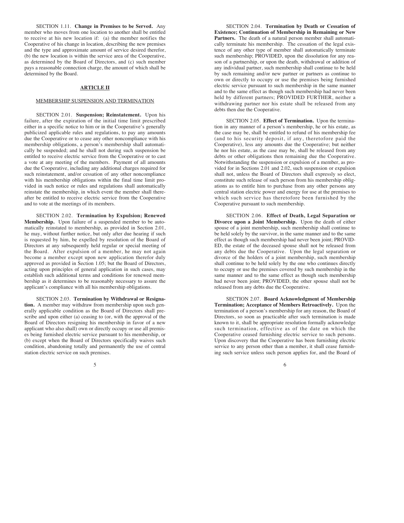SECTION 1.11. **Change in Premises to be Served.** Any member who moves from one location to another shall be entitled to receive at his new location if: (a) the member notifies the Cooperative of his change in location, describing the new premises and the type and approximate amount of service desired therefor, (b) the new location is within the service area of the Cooperative, as determined by the Board of Directors, and (c) such member pays a reasonable connection charge, the amount of which shall be determined by the Board.

#### **ARTICLE II**

#### MEMBERSHIP SUSPENSION AND TERMINATION

SECTION 2.01. **Suspension; Reinstatement.** Upon his failure, after the expiration of the initial time limit prescribed either in a specific notice to him or in the Cooperative's generally publicized applicable rules and regulations, to pay any amounts due the Cooperative or to cease any other noncompliance with his membership obligations, a person's membership shall automatically be suspended; and he shall not during such suspension be entitled to receive electric service from the Cooperative or to cast a vote at any meeting of the members. Payment of all amounts due the Cooperative, including any additional charges required for such reinstatement, and/or cessation of any other noncompliance with his membership obligations within the final time limit provided in such notice or rules and regulations shall automatically reinstate the membership, in which event the member shall thereafter be entitled to receive electric service from the Cooperative and to vote at the meetings of its members.

SECTION 2.02. **Termination by Expulsion; Renewed Membership.** Upon failure of a suspended member to be automatically reinstated to membership, as provided in Section 2.01, he may, without further notice, but only after due hearing if such is requested by him, be expelled by resolution of the Board of Directors at any subsequently held regular or special meeting of the Board. After expulsion of a member, he may not again become a member except upon new application therefor duly approved as provided in Section 1.05; but the Board of Directors, acting upon principles of general application in such cases, may establish such additional terms and conditions for renewed membership as it determines to be reasonably necessary to assure the applicant's compliance with all his membership obligations.

SECTION 2.03. **Termination by Withdrawal or Resignation.** A member may withdraw from membership upon such generally applicable condition as the Board of Directors shall prescribe and upon either (a) ceasing to (or, with the approval of the Board of Directors resigning his membership in favor of a new applicant who also shall) own or directly occupy or use all premises being furnished electric service pursuant to his membership, or (b) except when the Board of Directors specifically waives such condition, abandoning totally and permanently the use of central station electric service on such premises.

 $5<sub>6</sub>$ 

SECTION 2.04. **Termination by Death or Cessation of Existence; Continuation of Membership in Remaining or New Partners.** The death of a natural person member shall automatically terminate his membership. The cessation of the legal existence of any other type of member shall automatically terminate such membership; PROVIDED, upon the dissolution for any reason of a partnership, or upon the death, withdrawal or addition of any individual partner, such membership shall continue to be held by such remaining and/or new partner or partners as continue to own or directly to occupy or use the premises being furnished electric service pursuant to such membership in the same manner and to the same effect as though such membership had never been held by different partners; PROVIDED FURTHER, neither a withdrawing partner nor his estate shall be released from any debts then due the Cooperative.

SECTION 2.05. **Effect of Termination.** Upon the termination in any manner of a person's membership, he or his estate, as the case may be, shall be entitled to refund of his membership fee (and to his security deposit, if any, theretofore paid the Cooperative), less any amounts due the Cooperative; but neither he nor his estate, as the case may be, shall be released from any debts or other obligations then remaining due the Cooperative. Notwithstanding the suspension or expulsion of a member, as provided for in Sections 2.01 and 2.02, such suspension or expulsion shall not, unless the Board of Directors shall expressly so elect, constitute such release of such person from his membership obligations as to entitle him to purchase from any other persons any central station electric power and energy for use at the premises to which such service has theretofore been furnished by the Cooperative pursuant to such membership.

SECTION 2.06. **Effect of Death, Legal Separation or Divorce upon a Joint Membership.** Upon the death of either spouse of a joint membership, such membership shall continue to be held solely by the survivor, in the same manner and to the same effect as though such membership had never been joint; PROVID-ED, the estate of the deceased spouse shall not be released from any debts due the Cooperative. Upon the legal separation or divorce of the holders of a joint membership, such membership shall continue to be held solely by the one who continues directly to occupy or use the premises covered by such membership in the same manner and to the same effect as though such membership had never been joint; PROVIDED, the other spouse shall not be released from any debts due the Cooperative.

SECTION 2.07. **Board Acknowledgment of Membership Termination; Acceptance of Members Retroactively.** Upon the termination of a person's membership for any reason, the Board of Directors, so soon as practicable after such termination is made known to it, shall be appropriate resolution formally acknowledge such termination, effective as of the date on which the Cooperative ceased furnishing electric service to such persons. Upon discovery that the Cooperative has been furnishing electric service to any person other than a member, it shall cease furnishing such service unless such person applies for, and the Board of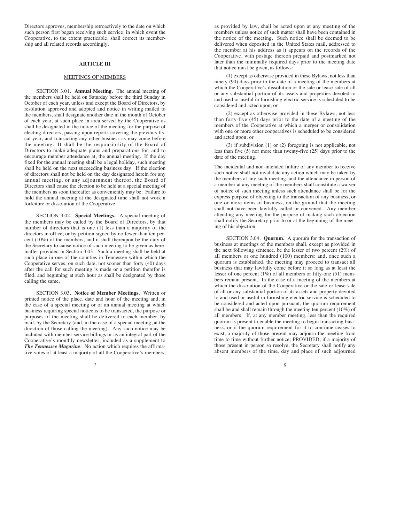Directors approves, membership retroactively to the date on which such person first began receiving such service, in which event the Cooperative, to the extent practicable, shall correct its membership and all related records accordingly.

#### **ARTICLE III**

#### MEETINGS OF MEMBERS

SECTION 3.01. **Annual Meeting.** The annual meeting of the members shall be held on Saturday before the third Sunday in October of each year, unless and except the Board of Directors, by resolution approved and adopted and notice in writing mailed to the members, shall designate another date in the month of October of each year, at such place in area served by the Cooperative as shall be designated in the notice of the meeting for the purpose of electing directors, passing upon reports covering the previous fiscal year, and transacting any other business as may come before the meeting. It shall be the responsibility of the Board of Directors to make adequate plans and preparations for, and to encourage member attendance at, the annual meeting. If the day fixed for the annual meeting shall be a legal holiday, such meeting shall be held on the next succeeding business day. If the election of directors shall not be held on the day designated herein for any annual meeting, or any adjournment thereof, the Board of Directors shall cause the election to be held at a special meeting of the members as soon thereafter as conveniently may be. Failure to hold the annual meeting at the designated time shall not work a forfeiture or dissolution of the Cooperative.

SECTION 3.02. **Special Meetings.** A special meeting of the members may be called by the Board of Directors, by that number of directors that is one (1) less than a majority of the directors in office, or by petition signed by no fewer than ten percent (10%) of the members, and it shall thereupon be the duty of the Secretary to cause notice of such meeting to be given as hereinafter provided in Section 3.03. Such a meeting shall be held at such place in one of the counties in Tennessee within which the Cooperative serves, on such date, not sooner than forty (40) days after the call for such meeting is made or a petition therefor is filed, and beginning at such hour as shall be designated by those calling the same.

SECTION 3.03. **Notice of Member Meetings.** Written or printed notice of the place, date and hour of the meeting and, in the case of a special meeting or of an annual meeting at which business requiring special notice is to be transacted, the purpose or purposes of the meeting shall be delivered to each member, by mail, by the Secretary (and, in the case of a special meeting, at the direction of those calling the meeting). Any such notice may be included with member service billings or as an integral part of the Cooperative's monthly newsletter, included as a supplement to *The Tennessee Magazine*. No action which requires the affirmative votes of at least a majority of all the Cooperative's members,

 $7 \overline{\phantom{a}}$ 

as provided by law, shall be acted upon at any meeting of the members unless notice of such matter shall have been contained in the notice of the meeting. Such notice shall be deemed to be delivered when deposited in the United States mail, addressed to the member at his address as it appears on the records of the Cooperative, with postage thereon prepaid and postmarked not later than the minimally required days prior to the meeting date that notice must be given, as follows:

(1) except as otherwise provided in these Bylaws, not less than ninety (90) days prior to the date of a meeting of the members at which the Cooperative's dissolution or the sale or lease-sale of all or any substantial portion of its assets and properties devoted to and used or useful in furnishing electric service is scheduled to be considered and acted upon; or

(2) except as otherwise provided in these Bylaws, not less than forty-five (45) days prior to the date of a meeting of the members of the Cooperative at which a merger or consolidation with one or more other cooperatives is scheduled to be considered and acted upon; or

(3) if subdivision (1) or (2) foregoing is not applicable, not less than five (5) nor more than twenty-five (25) days prior to the date of the meeting.

The incidental and non-intended failure of any member to receive such notice shall not invalidate any action which may be taken by the members at any such meeting, and the attendance in person of a member at any meeting of the members shall constitute a waiver of notice of such meeting unless such attendance shall be for the express purpose of objecting to the transaction of any business, or one or more items of business, on the ground that the meeting shall not have been lawfully called or convened. Any member attending any meeting for the purpose of making such objection shall notify the Secretary prior to or at the beginning of the meeting of his objection.

SECTION 3.04. **Quorum.** A quorum for the transaction of business at meetings of the members shall, except as provided in the next following sentence, be the lesser of two percent (2%) of all members or one hundred (100) members; and, once such a quorum is established, the meeting may proceed to transact all business that may lawfully come before it so long as at least the lesser of one percent (1%) of all members or fifty-one (51) members remain present. In the case of a meeting of the members at which the dissolution of the Cooperative or the sale or lease-sale of all or any substantial portion of its assets and property devoted to and used or useful in furnishing electric service is scheduled to be considered and acted upon pursuant, the quorum requirement shall be and shall remain through the meeting ten percent (10%) of all members. If, at any member meeting, less than the required quorum is present to enable the meeting to begin transacting business, or if the quorum requirement for it to continue ceases to exist, a majority of those present may adjourn the meeting from time to time without further notice; PROVIDED, if a majority of those present in person so resolve, the Secretary shall notify any absent members of the time, day and place of such adjourned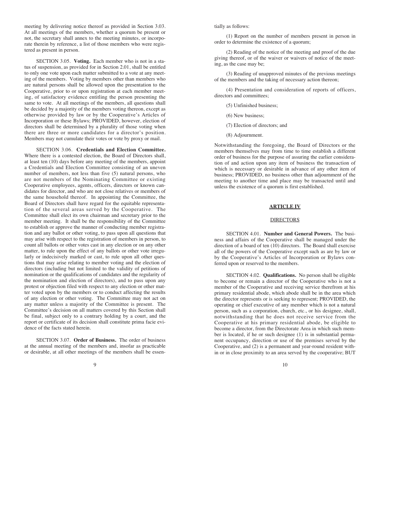meeting by delivering notice thereof as provided in Section 3.03. At all meetings of the members, whether a quorum be present or not, the secretary shall annex to the meeting minutes, or incorporate therein by reference, a list of those members who were registered as present in person.

SECTION 3.05. **Voting.** Each member who is not in a status of suspension, as provided for in Section 2.01, shall be entitled to only one vote upon each matter submitted to a vote at any meeting of the members. Voting by members other than members who are natural persons shall be allowed upon the presentation to the Cooperative, prior to or upon registration at each member meeting, of satisfactory evidence entitling the person presenting the same to vote. At all meetings of the members, all questions shall be decided by a majority of the members voting thereon, except as otherwise provided by law or by the Cooperative's Articles of Incorporation or these Bylaws; PROVIDED, however, election of directors shall be determined by a plurality of those voting when there are three or more candidates for a director's position. Members may not cumulate their votes or vote by proxy or mail.

SECTION 3.06. **Credentials and Election Committee.** Where there is a contested election, the Board of Directors shall, at least ten (10) days before any meeting of the members, appoint a Credentials and Election Committee consisting of an uneven number of members, not less than five (5) natural persons, who are not members of the Nominating Committee or existing Cooperative employees, agents, officers, directors or known candidates for director, and who are not close relatives or members of the same household thereof. In appointing the Committee, the Board of Directors shall have regard for the equitable representation of the several areas served by the Cooperative. The Committee shall elect its own chairman and secretary prior to the member meeting. It shall be the responsibility of the Committee to establish or approve the manner of conducting member registration and any ballot or other voting, to pass upon all questions that may arise with respect to the registration of members in person, to count all ballots or other votes cast in any election or on any other matter, to rule upon the effect of any ballots or other vote irregularly or indecisively marked or cast, to rule upon all other questions that may arise relating to member voting and the election of directors (including but not limited to the validity of petitions of nomination or the qualifications of candidates and the regularity of the nomination and election of directors), and to pass upon any protest or objection filed with respect to any election or other matter voted upon by the members or to conduct affecting the results of any election or other voting. The Committee may not act on any matter unless a majority of the Committee is present. The Committee's decision on all matters covered by this Section shall be final, subject only to a contrary holding by a court, and the report or certificate of its decision shall constitute prima facie evidence of the facts stated herein.

SECTION 3.07. **Order of Business.** The order of business at the annual meeting of the members and, insofar as practicable or desirable, at all other meetings of the members shall be essen-

tially as follows:

(1) Report on the number of members present in person in order to determine the existence of a quorum;

(2) Reading of the notice of the meeting and proof of the due giving thereof, or of the waiver or waivers of notice of the meeting, as the case may be;

(3) Reading of unapproved minutes of the previous meetings of the members and the taking of necessary action thereon;

(4) Presentation and consideration of reports of officers, directors and committees;

(5) Unfinished business;

(6) New business;

(7) Election of directors; and

(8) Adjournment.

Notwithstanding the foregoing, the Board of Directors or the members themselves may from time to time establish a different order of business for the purpose of assuring the earlier consideration of and action upon any item of business the transaction of which is necessary or desirable in advance of any other item of business; PROVIDED, no business other than adjournment of the meeting to another time and place may be transacted until and unless the existence of a quorum is first established.

#### **ARTICLE IV**

#### DIRECTORS

SECTION 4.01. **Number and General Powers.** The business and affairs of the Cooperative shall be managed under the direction of a board of ten (10) directors. The Board shall exercise all of the powers of the Cooperative except such as are by law or by the Cooperative's Articles of Incorporation or Bylaws conferred upon or reserved to the members.

SECTION 4.02. **Qualifications.** No person shall be eligible to become or remain a director of the Cooperative who is not a member of the Cooperative and receiving service therefrom at his primary residential abode, which abode shall be in the area which the director represents or is seeking to represent; PROVIDED, the operating or chief executive of any member which is not a natural person, such as a corporation, church, etc., or his designee, shall, notwithstanding that he does not receive service from the Cooperative at his primary residential abode, be eligible to become a director, from the Directorate Area in which such member is located, if he or such designee (1) is in substantial permanent occupancy, direction or use of the premises served by the Cooperative, and (2) is a permanent and year-round resident within or in close proximity to an area served by the cooperative; BUT

 $9 \t 10$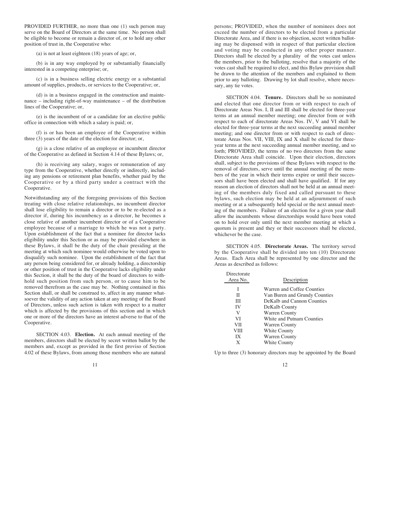PROVIDED FURTHER, no more than one (1) such person may serve on the Board of Directors at the same time. No person shall be eligible to become or remain a director of, or to hold any other position of trust in, the Cooperative who:

(a) is not at least eighteen (18) years of age; or,

(b) is in any way employed by or substantially financially interested in a competing enterprise; or,

(c) is in a business selling electric energy or a substantial amount of supplies, products, or services to the Cooperative; or,

(d) is in a business engaged in the construction and maintenance – including right-of-way maintenance – of the distribution lines of the Cooperative; or,

(e) is the incumbent of or a candidate for an elective public office in connection with which a salary is paid; or,

(f) is or has been an employee of the Cooperative within three (3) years of the date of the election for director; or,

(g) is a close relative of an employee or incumbent director of the Cooperative as defined in Section 4.14 of these Bylaws; or,

(h) is receiving any salary, wages or remuneration of any type from the Cooperative, whether directly or indirectly, including any pensions or retirement plan benefits, whether paid by the Cooperative or by a third party under a contract with the Cooperative.

Notwithstanding any of the foregoing provisions of this Section treating with close relative relationships, no incumbent director shall lose eligibility to remain a director or to be re-elected as a director if, during his incumbency as a director, he becomes a close relative of another incumbent director or of a Cooperative employee because of a marriage to which he was not a party. Upon establishment of the fact that a nominee for director lacks eligibility under this Section or as may be provided elsewhere in these Bylaws, it shall be the duty of the chair presiding at the meeting at which such nominee would otherwise be voted upon to disqualify such nominee. Upon the establishment of the fact that any person being considered for, or already holding, a directorship or other position of trust in the Cooperative lacks eligibility under this Section, it shall be the duty of the board of directors to withhold such position from such person, or to cause him to be removed therefrom as the case may be. Nothing contained in this Section shall, or shall be construed to, affect in any manner whatsoever the validity of any action taken at any meeting of the Board of Directors, unless such action is taken with respect to a matter which is affected by the provisions of this section and in which one or more of the directors have an interest adverse to that of the Cooperative.

SECTION 4.03. **Election.** At each annual meeting of the members, directors shall be elected by secret written ballot by the members and, except as provided in the first proviso of Section 4.02 of these Bylaws, from among those members who are natural

persons; PROVIDED, when the number of nominees does not exceed the number of directors to be elected from a particular Directorate Area, and if there is no objection, secret written balloting may be dispensed with in respect of that particular election and voting may be conducted in any other proper manner. Directors shall be elected by a plurality of the votes cast unless the members, prior to the balloting, resolve that a majority of the votes cast shall be required to elect, and this Bylaw provision shall be drawn to the attention of the members and explained to them prior to any balloting. Drawing by lot shall resolve, where necessary, any tie votes.

SECTION 4.04. **Tenure.** Directors shall be so nominated and elected that one director from or with respect to each of Directorate Areas Nos. I, II and III shall be elected for three-year terms at an annual member meeting; one director from or with respect to each of directorate Areas Nos. IV, V and VI shall be elected for three-year terms at the next succeeding annual member meeting; and one director from or with respect to each of directorate Areas Nos. VII, VIII, IX and X shall be elected for threeyear terms at the next succeeding annual member meeting, and so forth; PROVIDED, the terms of no two directors from the same Directorate Area shall coincide. Upon their election, directors shall, subject to the provisions of these Bylaws with respect to the removal of directors, serve until the annual meeting of the members of the year in which their terms expire or until their successors shall have been elected and shall have qualified. If for any reason an election of directors shall not be held at an annual meeting of the members duly fixed and called pursuant to these bylaws, such election may be held at an adjournment of such meeting or at a subsequently held special or the next annual meeting of the members. Failure of an election for a given year shall allow the incumbents whose directorships would have been voted on to hold over only until the next member meeting at which a quorum is present and they or their successors shall be elected, whichever be the case.

SECTION 4.05. **Directorate Areas.** The territory served by the Cooperative shall be divided into ten (10) Directorate Areas. Each Area shall be represented by one director and the Areas as described as follows:

| Directorate |                               |
|-------------|-------------------------------|
| Area No.    | Description                   |
|             | Warren and Coffee Counties    |
| Н           | Van Buren and Grundy Counties |
| Ш           | DeKalb and Cannon Counties    |
| IV          | DeKalb County                 |
| V           | <b>Warren County</b>          |
| VI          | White and Putnam Counties     |
| VH          | Warren County                 |
| VIII        | White County                  |
| IX          | <b>Warren County</b>          |
| X           | White County                  |

Up to three (3) honorary directors may be appointed by the Board

 $11$  12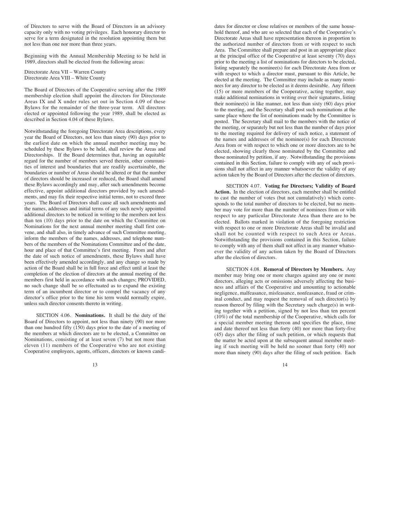of Directors to serve with the Board of Directors in an advisory capacity only with no voting privileges. Each honorary director to serve for a term designated in the resolution appointing them but not less than one nor more than three years.

Beginning with the Annual Membership Meeting to be held in 1989, directors shall be elected from the following areas:

Directorate Area VII – Warren County Directorate Area VIII – White County

The Board of Directors of the Cooperative serving after the 1989 membership election shall appoint the directors for Directorate Areas IX and X under rules set out in Section 4.09 of these Bylaws for the remainder of the three-year term. All directors elected or appointed following the year 1989, shall be elected as described in Section 4.04 of these Bylaws.

Notwithstanding the foregoing Directorate Area descriptions, every year the Board of Directors, not less than ninety (90) days prior to the earliest date on which the annual member meeting may be scheduled by these Bylaws to be held, shall review the Areas and Directorships. If the Board determines that, having an equitable regard for the number of members served therein, other communities of interest and boundaries that are readily ascertainable, the boundaries or number of Areas should be altered or that the number of directors should be increased or reduced, the Board shall amend these Bylaws accordingly and may, after such amendments become effective, appoint additional directors provided by such amendments, and may fix their respective initial terms, not to exceed three years. The Board of Directors shall cause all such amendments and the names, addresses and initial terms of any such newly appointed additional directors to be noticed in writing to the members not less than ten (10) days prior to the date on which the Committee on Nominations for the next annual member meeting shall first convene, and shall also, in timely advance of such Committee meeting, inform the members of the names, addresses, and telephone numbers of the members of the Nominations Committee and of the date, hour and place of that Committee's first meeting. From and after the date of such notice of amendments, these Bylaws shall have been effectively amended accordingly, and any change so made by action of the Board shall be in full force and effect until at least the completion of the election of directors at the annual meeting of the members first held in accordance with such changes; PROVIDED, no such change shall be so effectuated as to expand the existing term of an incumbent director or to compel the vacancy of any director's office prior to the time his term would normally expire, unless such director consents thereto in writing.

SECTION 4.06. **Nominations.** It shall be the duty of the Board of Directors to appoint, not less than ninety (90) nor more than one hundred fifty (150) days prior to the date of a meeting of the members at which directors are to be elected, a Committee on Nominations, consisting of at least seven (7) but not more than eleven (11) members of the Cooperative who are not existing Cooperative employees, agents, officers, directors or known candi-

13 14

dates for director or close relatives or members of the same household thereof, and who are so selected that each of the Cooperative's Directorate Areas shall have representation thereon in proportion to the authorized number of directors from or with respect to such Area. The Committee shall prepare and post in an appropriate place at the principal office of the Cooperative at least seventy (70) days prior to the meeting a list of nominations for directors to be elected, listing separately the nominee(s) for each Directorate Area from or with respect to which a director must, pursuant to this Article, be elected at the meeting. The Committee may include as many nominees for any director to be elected as it deems desirable. Any fifteen (15) or more members of the Cooperative, acting together, may make additional nominations in writing over their signatures, listing their nominee(s) in like manner, not less than sixty (60) days prior to the meeting, and the Secretary shall post such nominations at the same place where the list of nominations made by the Committee is posted. The Secretary shall mail to the members with the notice of the meeting, or separately but not less than the number of days prior to the meeting required for delivery of such notice, a statement of the names and addresses of the nominee(s) for each Directorate Area from or with respect to which one or more directors are to be elected, showing clearly those nominated by the Committee and those nominated by petition, if any. Notwithstanding the provisions contained in this Section, failure to comply with any of such provisions shall not affect in any manner whatsoever the validity of any action taken by the Board of Directors after the election of directors.

SECTION 4.07. **Voting for Directors; Validity of Board Action.** In the election of directors, each member shall be entitled to cast the number of votes (but not cumulatively) which corresponds to the total number of directors to be elected, but no member may vote for more than the number of nominees from or with respect to any particular Directorate Area than there are to be elected. Ballots marked in violation of the foregoing restriction with respect to one or more Directorate Areas shall be invalid and shall not be counted with respect to such Area or Areas. Notwithstanding the provisions contained in this Section, failure to comply with any of them shall not affect in any manner whatsoever the validity of any action taken by the Board of Directors after the election of directors.

SECTION 4.08. **Removal of Directors by Members.** Any member may bring one or more charges against any one or more directors, alleging acts or omissions adversely affecting the business and affairs of the Cooperative and amounting to actionable negligence, malfeasance, misfeasance, nonfeasance, fraud or criminal conduct, and may request the removal of such director(s) by reason thereof by filing with the Secretary such charge(s) in writing together with a petition, signed by not less than ten percent (10%) of the total membership of the Cooperative, which calls for a special member meeting thereon and specifies the place, time and date thereof not less than forty (40) nor more than forty-five (45) days after the filing of such petition, or which requests that the matter be acted upon at the subsequent annual member meeting if such meeting will be held no sooner than forty (40) nor more than ninety (90) days after the filing of such petition. Each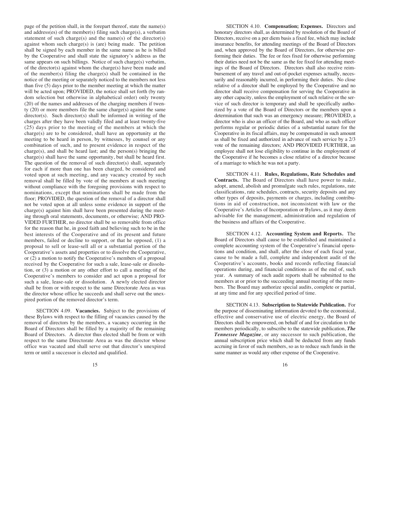page of the petition shall, in the forepart thereof, state the name(s) and address(es) of the member(s) filing such charge(s), a verbatim statement of such charge(s) and the name(s) of the director(s) against whom such charge(s) is (are) being made. The petition shall be signed by each member in the same name as he is billed by the Cooperative and shall state the signatory's address as the same appears on such billings. Notice of such charge(s) verbatim, of the director(s) against whom the charge(s) have been made and of the member(s) filing the charge(s) shall be contained in the notice of the meeting or separately noticed to the members not less than five (5) days prior to the member meeting at which the matter will be acted upon; PROVIDED, the notice shall set forth (by random selection but otherwise in alphabetical order) only twenty (20) of the names and addresses of the charging members if twenty (20) or more members file the same charge(s) against the same director(s). Such director(s) shall be informed in writing of the charges after they have been validly filed and at least twenty-five (25) days prior to the meeting of the members at which the charge(s) are to be considered, shall have an opportunity at the meeting to be heard in person, by witnesses, by counsel or any combination of such, and to present evidence in respect of the charge(s), and shall be heard last; and the person(s) bringing the charge(s) shall have the same opportunity, but shall be heard first. The question of the removal of such director(s) shall, separately for each if more than one has been charged, be considered and voted upon at such meeting, and any vacancy created by such removal shall be filled by vote of the members at such meeting without compliance with the foregoing provisions with respect to nominations, except that nominations shall be made from the floor; PROVIDED, the question of the removal of a director shall not be voted upon at all unless some evidence in support of the charge(s) against him shall have been presented during the meeting through oral statements, documents, or otherwise; AND PRO-VIDED FURTHER, no director shall be so removable from office for the reason that he, in good faith and believing such to be in the best interests of the Cooperative and of its present and future members, failed or decline to support, or that he opposed, (1) a proposal to sell or lease-sell all or a substantial portion of the Cooperative's assets and properties or to dissolve the Cooperative, or (2) a motion to notify the Cooperative's members of a proposal received by the Cooperative for such a sale, lease-sale or dissolution, or (3) a motion or any other effort to call a meeting of the Cooperative's members to consider and act upon a proposal for such a sale, lease-sale or dissolution. A newly elected director shall be from or with respect to the same Directorate Area as was the director whose office he succeeds and shall serve out the unexpired portion of the removed director's term.

SECTION 4.09. **Vacancies.** Subject to the provisions of these Bylaws with respect to the filling of vacancies caused by the removal of directors by the members, a vacancy occurring in the Board of Directors shall be filled by a majority of the remaining Board of Directors. A director thus elected shall be from or with respect to the same Directorate Area as was the director whose office was vacated and shall serve out that director's unexpired term or until a successor is elected and qualified.

 $15$  15

SECTION 4.10. **Compensation; Expenses.** Directors and honorary directors shall, as determined by resolution of the Board of Directors, receive on a per diem basis a fixed fee, which may include insurance benefits, for attending meetings of the Board of Directors and, when approved by the Board of Directors, for otherwise performing their duties. The fee or fees fixed for otherwise performing their duties need not be the same as the fee fixed for attending meetings of the Board of Directors. Directors shall also receive reimbursement of any travel and out-of-pocket expenses actually, necessarily and reasonably incurred, in performing their duties. No close relative of a director shall be employed by the Cooperative and no director shall receive compensation for serving the Cooperative in any other capacity, unless the employment of such relative or the service of such director is temporary and shall be specifically authorized by a vote of the Board of Directors or the members upon a determination that such was an emergency measure; PROVIDED, a director who is also an officer of the Board, and who as such officer performs regular or periodic duties of a substantial nature for the Cooperative in its fiscal affairs, may be compensated in such amount as shall be fixed and authorized in advance of such service by a 2/3 vote of the remaining directors; AND PROVIDED FURTHER, an employee shall not lose eligibility to continue in the employment of the Cooperative if he becomes a close relative of a director because of a marriage to which he was not a party.

SECTION 4.11. **Rules, Regulations, Rate Schedules and Contracts.** The Board of Directors shall have power to make, adopt, amend, abolish and promulgate such rules, regulations, rate classifications, rate schedules, contracts, security deposits and any other types of deposits, payments or charges, including contributions in aid of construction, not inconsistent with law or the Cooperative's Articles of Incorporation or Bylaws, as it may deem advisable for the management, administration and regulation of the business and affairs of the Cooperative.

SECTION 4.12. **Accounting System and Reports.** The Board of Directors shall cause to be established and maintained a complete accounting system of the Cooperative's financial operations and condition, and shall, after the close of each fiscal year, cause to be made a full, complete and independent audit of the Cooperative's accounts, books and records reflecting financial operations during, and financial conditions as of the end of, such year. A summary of such audit reports shall be submitted to the members at or prior to the succeeding annual meeting of the members. The Board may authorize special audits, complete or partial, at any time and for any specified period of time.

SECTION 4.13. **Subscription to Statewide Publication.** For the purpose of disseminating information devoted to the economical, effective and conservative use of electric energy, the Board of Directors shall be empowered, on behalf of and for circulation to the members periodically, to subscribe to the statewide publication, *The Tennessee Magazine*, or any successor to such publication, the annual subscription price which shall be deducted from any funds accruing in favor of such members, so as to reduce such funds in the same manner as would any other expense of the Cooperative.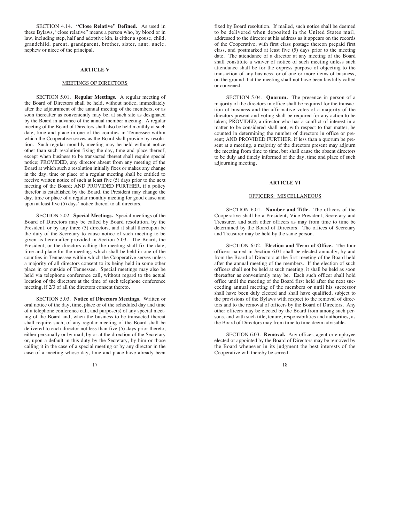SECTION 4.14. **"Close Relative" Defined.** As used in these Bylaws, "close relative" means a person who, by blood or in law, including step, half and adoptive kin, is either a spouse, child, grandchild, parent, grandparent, brother, sister, aunt, uncle, nephew or niece of the principal.

#### **ARTICLE V**

#### MEETINGS OF DIRECTORS

SECTION 5.01. **Regular Meetings.** A regular meeting of the Board of Directors shall be held, without notice, immediately after the adjournment of the annual meeting of the members, or as soon thereafter as conveniently may be, at such site as designated by the Board in advance of the annual member meeting. A regular meeting of the Board of Directors shall also be held monthly at such date, time and place in one of the counties in Tennessee within which the Cooperative serves as the Board shall provide by resolution. Such regular monthly meeting may be held without notice other than such resolution fixing the day, time and place thereof, except when business to be transacted thereat shall require special notice; PROVIDED, any director absent from any meeting of the Board at which such a resolution initially fixes or makes any change in the day, time or place of a regular meeting shall be entitled to receive written notice of such at least five (5) days prior to the next meeting of the Board; AND PROVIDED FURTHER, if a policy therefor is established by the Board, the President may change the day, time or place of a regular monthly meeting for good cause and upon at least five (5) days' notice thereof to all directors.

SECTION 5.02. **Special Meetings.** Special meetings of the Board of Directors may be called by Board resolution, by the President, or by any three (3) directors, and it shall thereupon be the duty of the Secretary to cause notice of such meeting to be given as hereinafter provided in Section 5.03. The Board, the President, or the directors calling the meeting shall fix the date, time and place for the meeting, which shall be held in one of the counties in Tennessee within which the Cooperative serves unless a majority of all directors consent to its being held in some other place in or outside of Tennessee. Special meetings may also be held via telephone conference call, without regard to the actual location of the directors at the time of such telephone conference meeting, if 2/3 of all the directors consent thereto.

SECTION 5.03. **Notice of Directors Meetings.** Written or oral notice of the day, time, place or of the scheduled day and time of a telephone conference call, and purpose(s) of any special meeting of the Board and, when the business to be transacted thereat shall require such, of any regular meeting of the Board shall be delivered to each director not less than five (5) days prior thereto, either personally or by mail, by or at the direction of the Secretary or, upon a default in this duty by the Secretary, by him or those calling it in the case of a special meeting or by any director in the case of a meeting whose day, time and place have already been

17 and 18

fixed by Board resolution. If mailed, such notice shall be deemed to be delivered when deposited in the United States mail, addressed to the director at his address as it appears on the records of the Cooperative, with first class postage thereon prepaid first class, and postmarked at least five (5) days prior to the meeting date. The attendance of a director at any meeting of the Board shall constitute a waiver of notice of such meeting unless such attendance shall be for the express purpose of objecting to the transaction of any business, or of one or more items of business, on the ground that the meeting shall not have been lawfully called or convened.

SECTION 5.04. **Quorum.** The presence in person of a majority of the directors in office shall be required for the transaction of business and the affirmative votes of a majority of the directors present and voting shall be required for any action to be taken; PROVIDED, a director who has a conflict of interest in a matter to be considered shall not, with respect to that matter, be counted in determining the number of directors in office or present; AND PROVIDED FURTHER, if less than a quorum be present at a meeting, a majority of the directors present may adjourn the meeting from time to time, but shall cause the absent directors to be duly and timely informed of the day, time and place of such adjourning meeting.

#### **ARTICLE VI**

#### OFFICERS: MISCELLANEOUS

SECTION 6.01. **Number and Title.** The officers of the Cooperative shall be a President, Vice President, Secretary and Treasurer, and such other officers as may from time to time be determined by the Board of Directors. The offices of Secretary and Treasurer may be held by the same person.

SECTION 6.02. **Election and Term of Office.** The four officers named in Section 6.01 shall be elected annually, by and from the Board of Directors at the first meeting of the Board held after the annual meeting of the members. If the election of such officers shall not be held at such meeting, it shall be held as soon thereafter as conveniently may be. Each such officer shall hold office until the meeting of the Board first held after the next succeeding annual meeting of the members or until his successor shall have been duly elected and shall have qualified, subject to the provisions of the Bylaws with respect to the removal of directors and to the removal of officers by the Board of Directors. Any other officers may be elected by the Board from among such persons, and with such title, tenure, responsibilities and authorities, as the Board of Directors may from time to time deem advisable.

SECTION 6.03. **Removal.** Any officer, agent or employee elected or appointed by the Board of Directors may be removed by the Board whenever in its judgment the best interests of the Cooperative will thereby be served.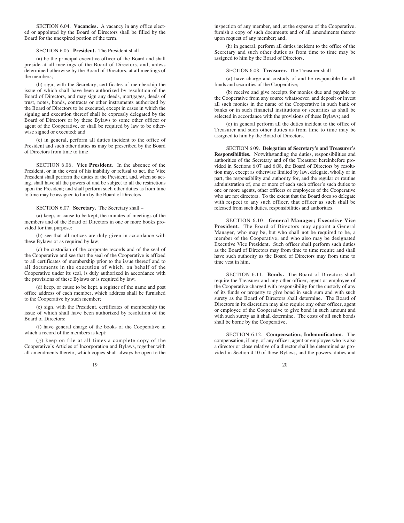SECTION 6.04. **Vacancies.** A vacancy in any office elected or appointed by the Board of Directors shall be filled by the Board for the unexpired portion of the term.

#### SECTION 6.05. **President.** The President shall –

(a) be the principal executive officer of the Board and shall preside at all meetings of the Board of Directors, and, unless determined otherwise by the Board of Directors, at all meetings of the members;

(b) sign, with the Secretary, certificates of membership the issue of which shall have been authorized by resolution of the Board of Directors, and may sign any deeds, mortgages, deeds of trust, notes, bonds, contracts or other instruments authorized by the Board of Directors to be executed, except in cases in which the signing and execution thereof shall be expressly delegated by the Board of Directors or by these Bylaws to some other officer or agent of the Cooperative, or shall be required by law to be otherwise signed or executed; and

(c) in general, perform all duties incident to the office of President and such other duties as may be prescribed by the Board of Directors from time to time.

SECTION 6.06. **Vice President.** In the absence of the President, or in the event of his inability or refusal to act, the Vice President shall perform the duties of the President, and, when so acting, shall have all the powers of and be subject to all the restrictions upon the President; and shall perform such other duties as from time to time may be assigned to him by the Board of Directors.

SECTION 6.07. **Secretary.** The Secretary shall –

(a) keep, or cause to be kept, the minutes of meetings of the members and of the Board of Directors in one or more books provided for that purpose;

(b) see that all notices are duly given in accordance with these Bylaws or as required by law;

(c) be custodian of the corporate records and of the seal of the Cooperative and see that the seal of the Cooperative is affixed to all certificates of membership prior to the issue thereof and to all documents in the execution of which, on behalf of the Cooperative under its seal, is duly authorized in accordance with the provisions of these Bylaws or is required by law;

(d) keep, or cause to be kept, a register of the name and post office address of each member, which address shall be furnished to the Cooperative by such member;

(e) sign, with the President, certificates of membership the issue of which shall have been authorized by resolution of the Board of Directors;

(f) have general charge of the books of the Cooperative in which a record of the members is kept;

(g) keep on file at all times a complete copy of the Cooperative's Articles of Incorporation and Bylaws, together with all amendments thereto, which copies shall always be open to the

 $19$  20

inspection of any member, and, at the expense of the Cooperative, furnish a copy of such documents and of all amendments thereto upon request of any member; and,

(h) in general, perform all duties incident to the office of the Secretary and such other duties as from time to time may be assigned to him by the Board of Directors.

#### SECTION 6.08. **Treasurer.** The Treasurer shall –

(a) have charge and custody of and be responsible for all funds and securities of the Cooperative;

(b) receive and give receipts for monies due and payable to the Cooperative from any source whatsoever, and deposit or invest all such monies in the name of the Cooperative in such bank or banks or in such financial institutions or securities as shall be selected in accordance with the provisions of these Bylaws; and

(c) in general perform all the duties incident to the office of Treasurer and such other duties as from time to time may be assigned to him by the Board of Directors.

SECTION 6.09. **Delegation of Secretary's and Treasurer's Responsibilities.** Notwithstanding the duties, responsibilities and authorities of the Secretary and of the Treasurer hereinbefore provided in Sections 6.07 and 6.08, the Board of Directors by resolution may, except as otherwise limited by law, delegate, wholly or in part, the responsibility and authority for, and the regular or routine administration of, one or more of each such officer's such duties to one or more agents, other officers or employees of the Cooperative who are not directors. To the extent that the Board does so delegate with respect to any such officer, that officer as such shall be released from such duties, responsibilities and authorities.

SECTION 6.10. **General Manager; Executive Vice President.** The Board of Directors may appoint a General Manager, who may be, but who shall not be required to be, a member of the Cooperative, and who also may be designated Executive Vice President. Such officer shall perform such duties as the Board of Directors may from time to time require and shall have such authority as the Board of Directors may from time to time vest in him.

SECTION 6.11. **Bonds.** The Board of Directors shall require the Treasurer and any other officer, agent or employee of the Cooperative charged with responsibility for the custody of any of its funds or property to give bond in such sum and with such surety as the Board of Directors shall determine. The Board of Directors in its discretion may also require any other officer, agent or employee of the Cooperative to give bond in such amount and with such surety as it shall determine. The costs of all such bonds shall be borne by the Cooperative.

SECTION 6.12. **Compensation; Indemnification**. The compensation, if any, of any officer, agent or employee who is also a director or close relative of a director shall be determined as provided in Section 4.10 of these Bylaws, and the powers, duties and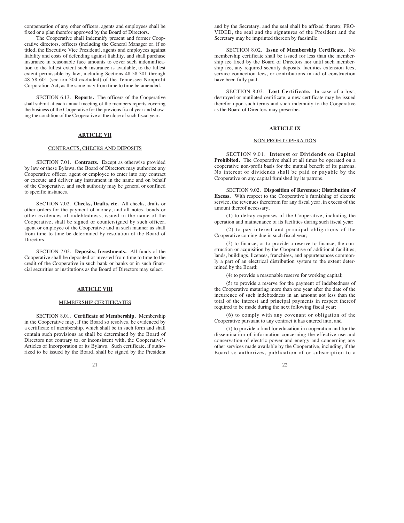compensation of any other officers, agents and employees shall be fixed or a plan therefor approved by the Board of Directors.

The Cooperative shall indemnify present and former Cooperative directors, officers (including the General Manager or, if so titled, the Executive Vice President), agents and employees against liability and costs of defending against liability, and shall purchase insurance in reasonable face amounts to cover such indemnification to the fullest extent such insurance is available, to the fullest extent permissible by law, including Sections 48-58-301 through 48-58-601 (section 304 excluded) of the Tennessee Nonprofit Corporation Act, as the same may from time to time be amended.

SECTION 6.13. **Reports.** The officers of the Cooperative shall submit at each annual meeting of the members reports covering the business of the Cooperative for the previous fiscal year and showing the condition of the Cooperative at the close of such fiscal year.

#### **ARTICLE VII**

#### CONTRACTS, CHECKS AND DEPOSITS

SECTION 7.01. **Contracts.** Except as otherwise provided by law or these Bylaws, the Board of Directors may authorize any Cooperative officer, agent or employee to enter into any contract or execute and deliver any instrument in the name and on behalf of the Cooperative, and such authority may be general or confined to specific instances.

SECTION 7.02. **Checks, Drafts, etc.** All checks, drafts or other orders for the payment of money, and all notes, bonds or other evidences of indebtedness, issued in the name of the Cooperative, shall be signed or countersigned by such officer, agent or employee of the Cooperative and in such manner as shall from time to time be determined by resolution of the Board of **Directors** 

SECTION 7.03. **Deposits; Investments.** All funds of the Cooperative shall be deposited or invested from time to time to the credit of the Cooperative in such bank or banks or in such financial securities or institutions as the Board of Directors may select.

#### **ARTICLE VIII**

#### MEMBERSHIP CERTIFICATES

SECTION 8.01. **Certificate of Membership.** Membership in the Cooperative may, if the Board so resolves, be evidenced by a certificate of membership, which shall be in such form and shall contain such provisions as shall be determined by the Board of Directors not contrary to, or inconsistent with, the Cooperative's Articles of Incorporation or its Bylaws. Such certificate, if authorized to be issued by the Board, shall be signed by the President

21  $22$ 

and by the Secretary, and the seal shall be affixed thereto; PRO-VIDED, the seal and the signatures of the President and the Secretary may be imprinted thereon by facsimile.

SECTION 8.02. **Issue of Membership Certificate.** No membership certificate shall be issued for less than the membership fee fixed by the Board of Directors nor until such membership fee, any required security deposits, facilities extension fees, service connection fees, or contributions in aid of construction have been fully paid.

SECTION 8.03. **Lost Certificate.** In case of a lost, destroyed or mutilated certificate, a new certificate may be issued therefor upon such terms and such indemnity to the Cooperative as the Board of Directors may prescribe.

#### **ARTICLE IX**

#### NON-PROFIT OPERATION

SECTION 9.01. **Interest or Dividends on Capital** Prohibited. The Cooperative shall at all times be operated on a cooperative non-profit basis for the mutual benefit of its patrons. No interest or dividends shall be paid or payable by the Cooperative on any capital furnished by its patrons.

SECTION 9.02. **Disposition of Revenues; Distribution of Excess.** With respect to the Cooperative's furnishing of electric service, the revenues therefrom for any fiscal year, in excess of the amount thereof necessary;

(1) to defray expenses of the Cooperative, including the operation and maintenance of its facilities during such fiscal year;

(2) to pay interest and principal obligations of the Cooperative coming due in such fiscal year;

(3) to finance, or to provide a reserve to finance, the construction or acquisition by the Cooperative of additional facilities, lands, buildings, licenses, franchises, and appurtenances commonly a part of an electrical distribution system to the extent determined by the Board;

(4) to provide a reasonable reserve for working capital;

(5) to provide a reserve for the payment of indebtedness of the Cooperative maturing more than one year after the date of the incurrence of such indebtedness in an amount not less than the total of the interest and principal payments in respect thereof required to be made during the next following fiscal year;

(6) to comply with any covenant or obligation of the Cooperative pursuant to any contract it has entered into; and

(7) to provide a fund for education in cooperation and for the dissemination of information concerning the effective use and conservation of electric power and energy and concerning any other services made available by the Cooperative, including, if the Board so authorizes, publication of or subscription to a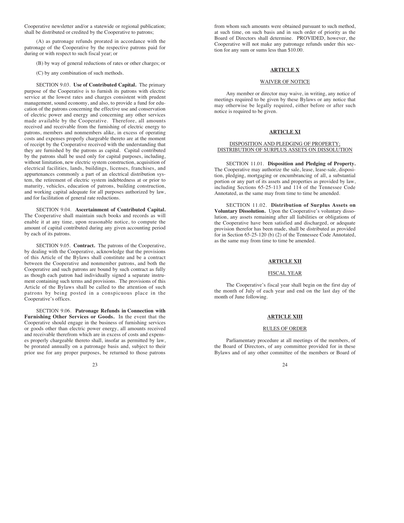Cooperative newsletter and/or a statewide or regional publication; shall be distributed or credited by the Cooperative to patrons;

(A) as patronage refunds prorated in accordance with the patronage of the Cooperative by the respective patrons paid for during or with respect to such fiscal year; or

(B) by way of general reductions of rates or other charges; or

(C) by any combination of such methods.

SECTION 9.03. **Use of Contributed Capital.** The primary purpose of the Cooperative is to furnish its patrons with electric service at the lowest rates and charges consistent with prudent management, sound economy, and also, to provide a fund for education of the patrons concerning the effective use and conservation of electric power and energy and concerning any other services made available by the Cooperative. Therefore, all amounts received and receivable from the furnishing of electric energy to patrons, members and nonmembers alike, in excess of operating costs and expenses properly chargeable thereto are at the moment of receipt by the Cooperative received with the understanding that they are furnished by the patrons as capital. Capital contributed by the patrons shall be used only for capital purposes, including, without limitation, new electric system construction, acquisition of electrical facilities, lands, buildings, licenses, franchises, and appurtenances commonly a part of an electrical distribution system, the retirement of electric system indebtedness at or prior to maturity, vehicles, education of patrons, building construction, and working capital adequate for all purposes authorized by law, and for facilitation of general rate reductions.

SECTION 9.04. **Ascertainment of Contributed Capital.** The Cooperative shall maintain such books and records as will enable it at any time, upon reasonable notice, to compute the amount of capital contributed during any given accounting period by each of its patrons.

SECTION 9.05. **Contract.** The patrons of the Cooperative, by dealing with the Cooperative, acknowledge that the provisions of this Article of the Bylaws shall constitute and be a contract between the Cooperative and nonmember patrons, and both the Cooperative and such patrons are bound by such contract as fully as though each patron had individually signed a separate instrument containing such terms and provisions. The provisions of this Article of the Bylaws shall be called to the attention of such patrons by being posted in a conspicuous place in the Cooperative's offices.

SECTION 9.06. **Patronage Refunds in Connection with Furnishing Other Services or Goods.** In the event that the Cooperative should engage in the business of furnishing services or goods other than electric power energy, all amounts received and receivable therefrom which are in excess of costs and expenses properly chargeable thereto shall, insofar as permitted by law, be prorated annually on a patronage basis and, subject to their prior use for any proper purposes, be returned to those patrons

from whom such amounts were obtained pursuant to such method, at such time, on such basis and in such order of priority as the Board of Directors shall determine. PROVIDED, however, the Cooperative will not make any patronage refunds under this section for any sum or sums less than \$10.00.

#### **ARTICLE X**

#### WAIVER OF NOTICE

Any member or director may waive, in writing, any notice of meetings required to be given by these Bylaws or any notice that may otherwise be legally required, either before or after such notice is required to be given.

#### **ARTICLE XI**

#### DISPOSITION AND PLEDGING OF PROPERTY; DISTRIBUTION OF SURPLUS ASSETS ON DISSOLUTION

SECTION 11.01. **Disposition and Pledging of Property.** The Cooperative may authorize the sale, lease, lease-sale, disposition, pledging, mortgaging or encumbrancing of all, a substantial portion or any part of its assets and properties as provided by law, including Sections 65-25-113 and 114 of the Tennessee Code Annotated, as the same may from time to time be amended.

SECTION 11.02. **Distribution of Surplus Assets on Voluntary Dissolution.** Upon the Cooperative's voluntary dissolution, any assets remaining after all liabilities or obligations of the Cooperative have been satisfied and discharged, or adequate provision therefor has been made, shall be distributed as provided for in Section 65-25-120 (b) (2) of the Tennessee Code Annotated, as the same may from time to time be amended.

#### **ARTICLE XII**

#### FISCAL YEAR

The Cooperative's fiscal year shall begin on the first day of the month of July of each year and end on the last day of the month of June following.

#### **ARTICLE XIII**

#### RULES OF ORDER

Parliamentary procedure at all meetings of the members, of the Board of Directors, of any committee provided for in these Bylaws and of any other committee of the members or Board of

 $23$  23